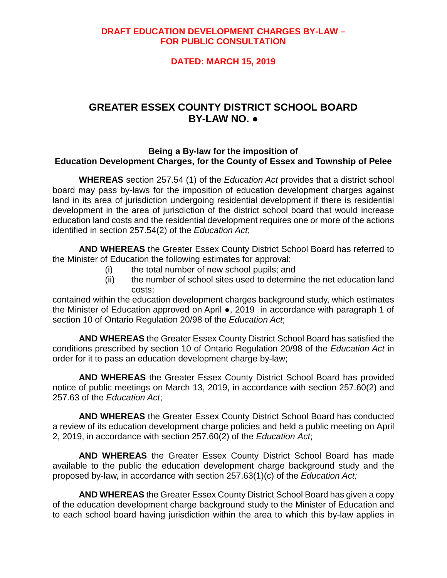# **DRAFT EDUCATION DEVELOPMENT CHARGES BY-LAW – FOR PUBLIC CONSULTATION**

# **DATED: MARCH 15, 2019**

# **GREATER ESSEX COUNTY DISTRICT SCHOOL BOARD BY-LAW NO. ●**

## **Being a By-law for the imposition of Education Development Charges, for the County of Essex and Township of Pelee**

**WHEREAS** section 257.54 (1) of the *Education Act* provides that a district school board may pass by-laws for the imposition of education development charges against land in its area of jurisdiction undergoing residential development if there is residential development in the area of jurisdiction of the district school board that would increase education land costs and the residential development requires one or more of the actions identified in section 257.54(2) of the *Education Act*;

**AND WHEREAS** the Greater Essex County District School Board has referred to the Minister of Education the following estimates for approval:

- (i) the total number of new school pupils; and
- (ii) the number of school sites used to determine the net education land costs;

contained within the education development charges background study, which estimates the Minister of Education approved on April ●, 2019 in accordance with paragraph 1 of section 10 of Ontario Regulation 20/98 of the *Education Act*;

**AND WHEREAS** the Greater Essex County District School Board has satisfied the conditions prescribed by section 10 of Ontario Regulation 20/98 of the *Education Act* in order for it to pass an education development charge by-law;

**AND WHEREAS** the Greater Essex County District School Board has provided notice of public meetings on March 13, 2019, in accordance with section 257.60(2) and 257.63 of the *Education Act*;

**AND WHEREAS** the Greater Essex County District School Board has conducted a review of its education development charge policies and held a public meeting on April 2, 2019, in accordance with section 257.60(2) of the *Education Act*;

**AND WHEREAS** the Greater Essex County District School Board has made available to the public the education development charge background study and the proposed by-law, in accordance with section 257.63(1)(c) of the *Education Act;*

**AND WHEREAS** the Greater Essex County District School Board has given a copy of the education development charge background study to the Minister of Education and to each school board having jurisdiction within the area to which this by-law applies in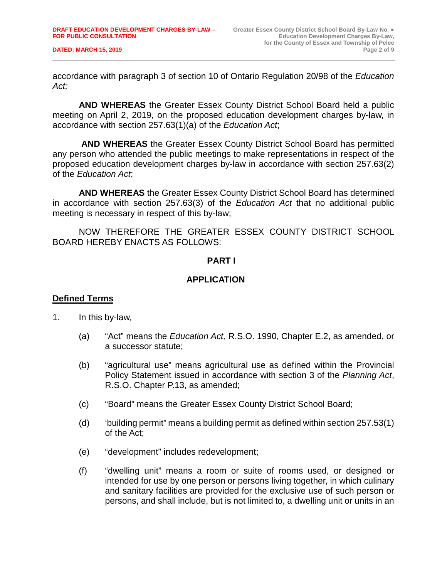**DATED: MARCH 15, 2019** 

accordance with paragraph 3 of section 10 of Ontario Regulation 20/98 of the *Education Act;*

**AND WHEREAS** the Greater Essex County District School Board held a public meeting on April 2, 2019, on the proposed education development charges by-law, in accordance with section 257.63(1)(a) of the *Education Act*;

**AND WHEREAS** the Greater Essex County District School Board has permitted any person who attended the public meetings to make representations in respect of the proposed education development charges by-law in accordance with section 257.63(2) of the *Education Act*;

**AND WHEREAS** the Greater Essex County District School Board has determined in accordance with section 257.63(3) of the *Education Act* that no additional public meeting is necessary in respect of this by-law;

NOW THEREFORE THE GREATER ESSEX COUNTY DISTRICT SCHOOL BOARD HEREBY ENACTS AS FOLLOWS:

## **PART I**

# **APPLICATION**

## **Defined Terms**

- 1. In this by-law,
	- (a) "Act" means the *Education Act,* R.S.O. 1990, Chapter E.2, as amended, or a successor statute;
	- (b) "agricultural use" means agricultural use as defined within the Provincial Policy Statement issued in accordance with section 3 of the *Planning Act*, R.S.O. Chapter P.13, as amended;
	- (c) "Board" means the Greater Essex County District School Board;
	- (d) 'building permit" means a building permit as defined within section 257.53(1) of the Act;
	- (e) "development" includes redevelopment;
	- (f) "dwelling unit" means a room or suite of rooms used, or designed or intended for use by one person or persons living together, in which culinary and sanitary facilities are provided for the exclusive use of such person or persons, and shall include, but is not limited to, a dwelling unit or units in an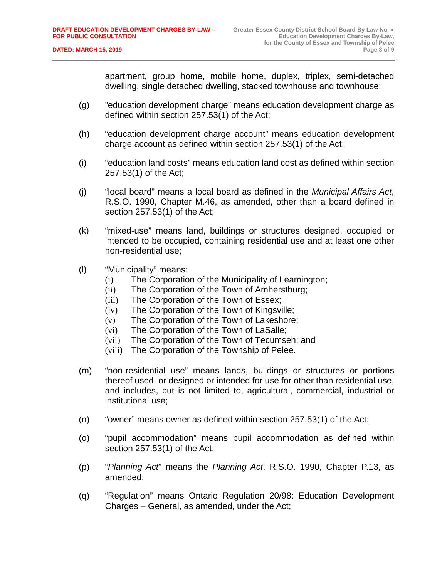apartment, group home, mobile home, duplex, triplex, semi-detached dwelling, single detached dwelling, stacked townhouse and townhouse;

- (g) "education development charge" means education development charge as defined within section 257.53(1) of the Act;
- (h) "education development charge account" means education development charge account as defined within section 257.53(1) of the Act;
- (i) "education land costs" means education land cost as defined within section 257.53(1) of the Act;
- (j) "local board" means a local board as defined in the *Municipal Affairs Act*, R.S.O. 1990, Chapter M.46, as amended, other than a board defined in section 257.53(1) of the Act;
- (k) "mixed-use" means land, buildings or structures designed, occupied or intended to be occupied, containing residential use and at least one other non-residential use;
- (l) "Municipality" means:
	- (i) The Corporation of the Municipality of Leamington;
	- (ii) The Corporation of the Town of Amherstburg;
	- (iii) The Corporation of the Town of Essex;
	- (iv) The Corporation of the Town of Kingsville;
	- (v) The Corporation of the Town of Lakeshore;
	- (vi) The Corporation of the Town of LaSalle;
	- (vii) The Corporation of the Town of Tecumseh; and
	- (viii) The Corporation of the Township of Pelee.
- (m) "non-residential use" means lands, buildings or structures or portions thereof used, or designed or intended for use for other than residential use, and includes, but is not limited to, agricultural, commercial, industrial or institutional use;
- (n) "owner" means owner as defined within section 257.53(1) of the Act;
- (o) "pupil accommodation" means pupil accommodation as defined within section 257.53(1) of the Act;
- (p) "*Planning Act*" means the *Planning Act*, R.S.O. 1990, Chapter P.13, as amended;
- (q) "Regulation" means Ontario Regulation 20/98: Education Development Charges – General, as amended, under the Act;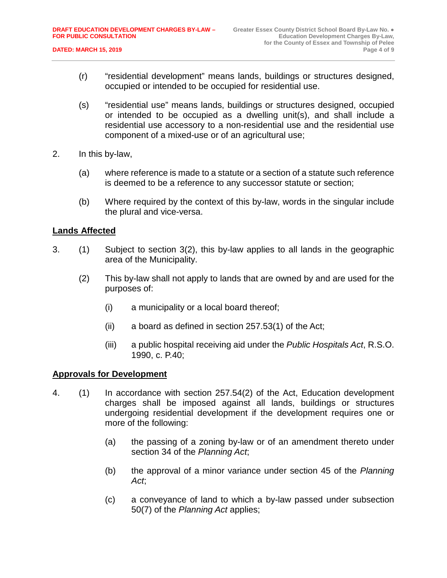- (r) "residential development" means lands, buildings or structures designed, occupied or intended to be occupied for residential use.
- (s) "residential use" means lands, buildings or structures designed, occupied or intended to be occupied as a dwelling unit(s), and shall include a residential use accessory to a non-residential use and the residential use component of a mixed-use or of an agricultural use;
- 2. In this by-law,
	- (a) where reference is made to a statute or a section of a statute such reference is deemed to be a reference to any successor statute or section;
	- (b) Where required by the context of this by-law, words in the singular include the plural and vice-versa.

## **Lands Affected**

- 3. (1) Subject to section 3(2), this by-law applies to all lands in the geographic area of the Municipality.
	- (2) This by-law shall not apply to lands that are owned by and are used for the purposes of:
		- (i) a municipality or a local board thereof;
		- (ii) a board as defined in section 257.53(1) of the Act;
		- (iii) a public hospital receiving aid under the *Public Hospitals Act*, R.S.O. 1990, c. P.40;

## **Approvals for Development**

- 4. (1) In accordance with section 257.54(2) of the Act, Education development charges shall be imposed against all lands, buildings or structures undergoing residential development if the development requires one or more of the following:
	- (a) the passing of a zoning by-law or of an amendment thereto under section 34 of the *Planning Act*;
	- (b) the approval of a minor variance under section 45 of the *Planning Act*;
	- (c) a conveyance of land to which a by-law passed under subsection 50(7) of the *Planning Act* applies;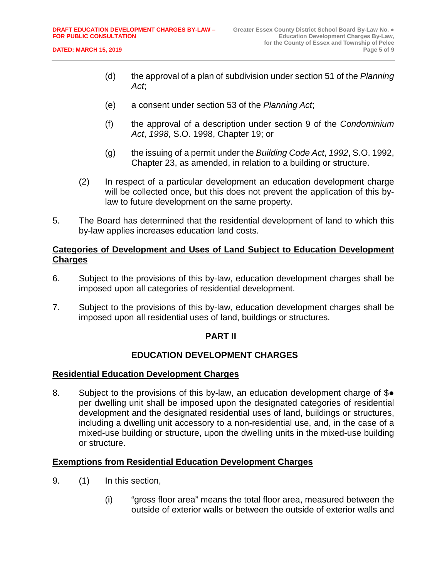- (d) the approval of a plan of subdivision under section 51 of the *Planning Act*;
- (e) a consent under section 53 of the *Planning Act*;
- (f) the approval of a description under section 9 of the *Condominium Act*, *1998*, S.O. 1998, Chapter 19; or
- (g) the issuing of a permit under the *Building Code Act*, *1992*, S.O. 1992, Chapter 23, as amended, in relation to a building or structure.
- (2) In respect of a particular development an education development charge will be collected once, but this does not prevent the application of this bylaw to future development on the same property.
- 5. The Board has determined that the residential development of land to which this by-law applies increases education land costs.

# **Categories of Development and Uses of Land Subject to Education Development Charges**

- 6. Subject to the provisions of this by-law, education development charges shall be imposed upon all categories of residential development.
- 7. Subject to the provisions of this by-law, education development charges shall be imposed upon all residential uses of land, buildings or structures.

## **PART II**

# **EDUCATION DEVELOPMENT CHARGES**

## **Residential Education Development Charges**

8. Subject to the provisions of this by-law, an education development charge of \$• per dwelling unit shall be imposed upon the designated categories of residential development and the designated residential uses of land, buildings or structures, including a dwelling unit accessory to a non-residential use, and, in the case of a mixed-use building or structure, upon the dwelling units in the mixed-use building or structure.

## **Exemptions from Residential Education Development Charges**

- 9. (1) In this section,
	- (i) "gross floor area" means the total floor area, measured between the outside of exterior walls or between the outside of exterior walls and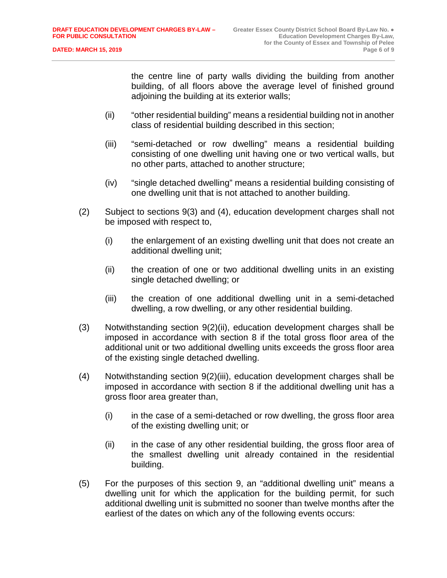the centre line of party walls dividing the building from another building, of all floors above the average level of finished ground adjoining the building at its exterior walls;

- (ii) "other residential building" means a residential building not in another class of residential building described in this section;
- (iii) "semi-detached or row dwelling" means a residential building consisting of one dwelling unit having one or two vertical walls, but no other parts, attached to another structure;
- (iv) "single detached dwelling" means a residential building consisting of one dwelling unit that is not attached to another building.
- (2) Subject to sections 9(3) and (4), education development charges shall not be imposed with respect to,
	- (i) the enlargement of an existing dwelling unit that does not create an additional dwelling unit;
	- (ii) the creation of one or two additional dwelling units in an existing single detached dwelling; or
	- (iii) the creation of one additional dwelling unit in a semi-detached dwelling, a row dwelling, or any other residential building.
- (3) Notwithstanding section 9(2)(ii), education development charges shall be imposed in accordance with section 8 if the total gross floor area of the additional unit or two additional dwelling units exceeds the gross floor area of the existing single detached dwelling.
- (4) Notwithstanding section 9(2)(iii), education development charges shall be imposed in accordance with section 8 if the additional dwelling unit has a gross floor area greater than,
	- (i) in the case of a semi-detached or row dwelling, the gross floor area of the existing dwelling unit; or
	- (ii) in the case of any other residential building, the gross floor area of the smallest dwelling unit already contained in the residential building.
- (5) For the purposes of this section 9, an "additional dwelling unit" means a dwelling unit for which the application for the building permit, for such additional dwelling unit is submitted no sooner than twelve months after the earliest of the dates on which any of the following events occurs: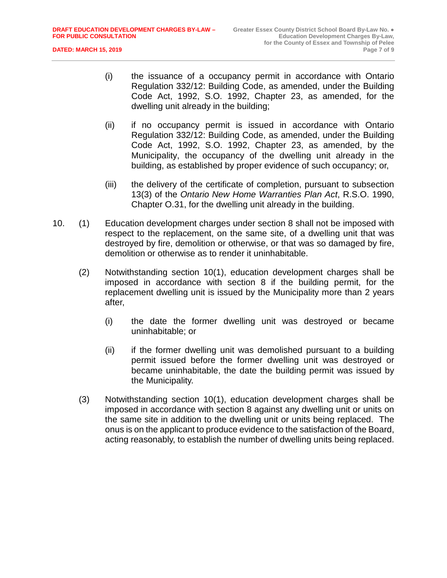- (i) the issuance of a occupancy permit in accordance with Ontario Regulation 332/12: Building Code, as amended, under the Building Code Act, 1992, S.O. 1992, Chapter 23, as amended, for the dwelling unit already in the building;
- (ii) if no occupancy permit is issued in accordance with Ontario Regulation 332/12: Building Code, as amended, under the Building Code Act, 1992, S.O. 1992, Chapter 23, as amended, by the Municipality, the occupancy of the dwelling unit already in the building, as established by proper evidence of such occupancy; or,
- (iii) the delivery of the certificate of completion, pursuant to subsection 13(3) of the *Ontario New Home Warranties Plan Act*, R.S.O. 1990, Chapter O.31, for the dwelling unit already in the building.
- 10. (1) Education development charges under section 8 shall not be imposed with respect to the replacement, on the same site, of a dwelling unit that was destroyed by fire, demolition or otherwise, or that was so damaged by fire, demolition or otherwise as to render it uninhabitable.
	- (2) Notwithstanding section 10(1), education development charges shall be imposed in accordance with section 8 if the building permit, for the replacement dwelling unit is issued by the Municipality more than 2 years after,
		- (i) the date the former dwelling unit was destroyed or became uninhabitable; or
		- (ii) if the former dwelling unit was demolished pursuant to a building permit issued before the former dwelling unit was destroyed or became uninhabitable, the date the building permit was issued by the Municipality.
	- (3) Notwithstanding section 10(1), education development charges shall be imposed in accordance with section 8 against any dwelling unit or units on the same site in addition to the dwelling unit or units being replaced. The onus is on the applicant to produce evidence to the satisfaction of the Board, acting reasonably, to establish the number of dwelling units being replaced.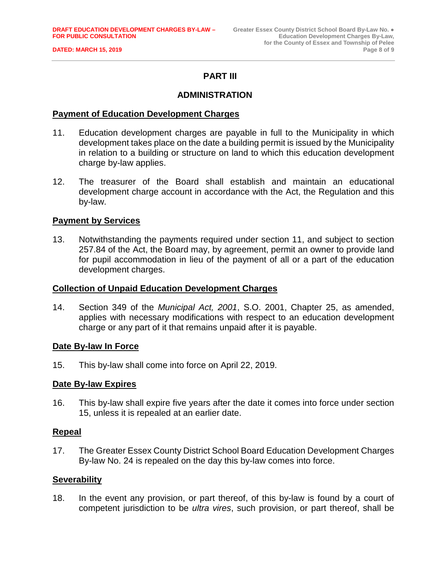**DATED: MARCH 15, 2019** 

# **PART III**

## **ADMINISTRATION**

#### **Payment of Education Development Charges**

- 11. Education development charges are payable in full to the Municipality in which development takes place on the date a building permit is issued by the Municipality in relation to a building or structure on land to which this education development charge by-law applies.
- 12. The treasurer of the Board shall establish and maintain an educational development charge account in accordance with the Act, the Regulation and this by-law.

#### **Payment by Services**

13. Notwithstanding the payments required under section 11, and subject to section 257.84 of the Act, the Board may, by agreement, permit an owner to provide land for pupil accommodation in lieu of the payment of all or a part of the education development charges.

#### **Collection of Unpaid Education Development Charges**

14. Section 349 of the *Municipal Act, 2001*, S.O. 2001, Chapter 25, as amended, applies with necessary modifications with respect to an education development charge or any part of it that remains unpaid after it is payable.

#### **Date By-law In Force**

15. This by-law shall come into force on April 22, 2019.

#### **Date By-law Expires**

16. This by-law shall expire five years after the date it comes into force under section 15, unless it is repealed at an earlier date.

#### **Repeal**

17. The Greater Essex County District School Board Education Development Charges By-law No. 24 is repealed on the day this by-law comes into force.

#### **Severability**

18. In the event any provision, or part thereof, of this by-law is found by a court of competent jurisdiction to be *ultra vires*, such provision, or part thereof, shall be